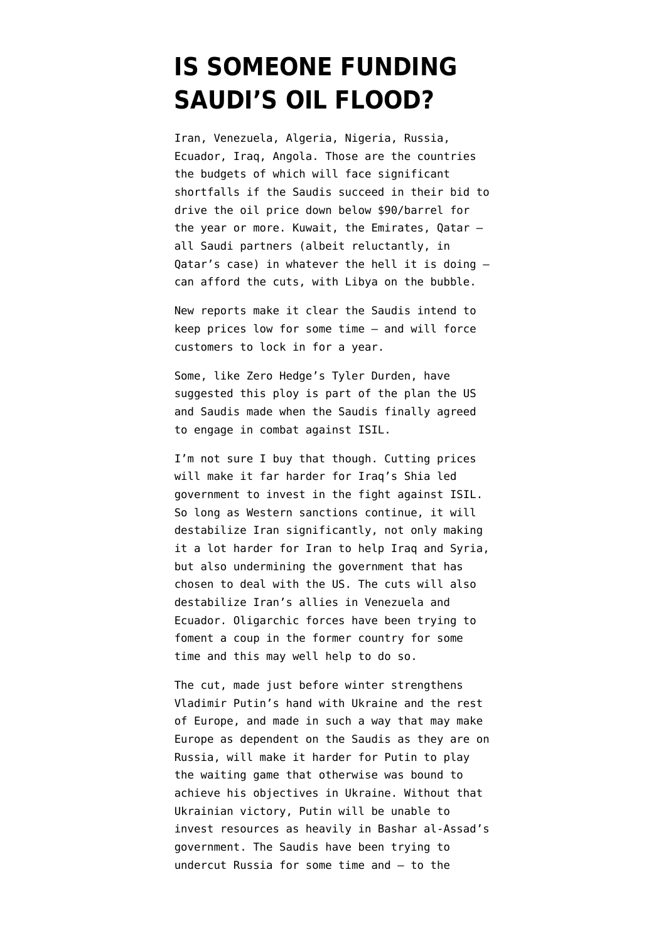## **[IS SOMEONE FUNDING](https://www.emptywheel.net/2014/10/13/is-someone-funding-saudis-oil-flood/) [SAUDI'S OIL FLOOD?](https://www.emptywheel.net/2014/10/13/is-someone-funding-saudis-oil-flood/)**

Iran, Venezuela, Algeria, Nigeria, [Russia,](http://www.institutionalinvestor.com/article/3385857/banking-and-capital-markets-banking/drop-in-crude-oil-prices-could-pressure-russias-budget.html) Ecuador, Iraq, Angola. [Those are the countries](http://online.wsj.com/articles/oil-price-slump-strains-budgets-of-some-opec-members-1412952367) the budgets of which will face significant shortfalls if the Saudis succeed in their bid to drive the oil price down below \$90/barrel for the year or more. Kuwait, the Emirates, Qatar all Saudi partners (albeit reluctantly, in Qatar's case) in whatever the hell it is doing can afford the cuts, with Libya on the bubble.

New reports make it clear the Saudis [intend](http://uk.mobile.reuters.com/article/idUKL2N0S70J720141012?irpc=932) to keep prices low for some time — and [will force](http://online.wsj.com/articles/saudis-make-aggressive-oil-push-in-europe-1413108958) [customers to lock in for a year.](http://online.wsj.com/articles/saudis-make-aggressive-oil-push-in-europe-1413108958)

Some, [like Zero Hedge's Tyler Durden](http://www.zerohedge.com/news/2014-10-10/why-oil-plunging-other-part-secret-deal-between-us-and-saudi-arabia), have suggested this ploy is part of the plan the US and Saudis made when the Saudis finally agreed to engage in combat against ISIL.

I'm not sure I buy that though. Cutting prices will make it far harder for Iraq's Shia led government to invest in the fight against ISIL. So long as Western sanctions continue, it will destabilize Iran significantly, not only making it a lot harder for Iran to help Iraq and Syria, but also undermining the government that has chosen to deal with the US. The cuts will also destabilize Iran's allies in Venezuela and Ecuador. Oligarchic forces have been trying to foment a coup in the former country for some time and this may well help to do so.

The cut, made just before winter strengthens Vladimir Putin's hand with Ukraine and the rest of Europe, and made in such a way that may make Europe as dependent on the Saudis as they are on Russia, will make it harder for Putin to play the waiting game that otherwise was bound to achieve his objectives in Ukraine. Without that Ukrainian victory, Putin will be unable to invest resources as heavily in Bashar al-Assad's government. The Saudis have been trying to undercut Russia for some time and — to the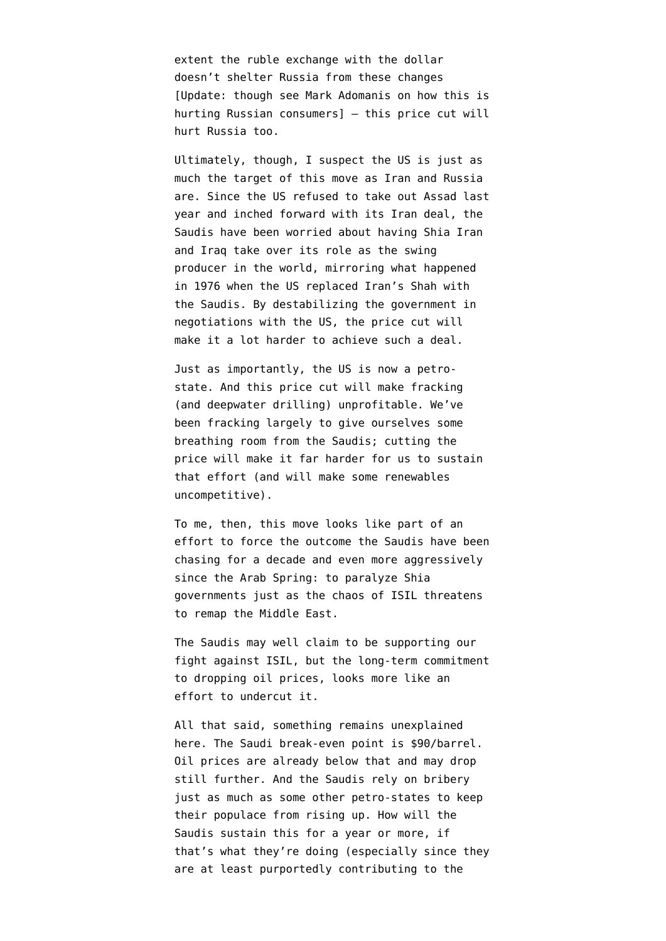extent the ruble exchange with the dollar doesn't shelter Russia from these changes [Update: though [see Mark Adomanis on how this is](http://readrussia.com/2014/10/13/the-ruble-yeah-thats-going-to-be-a-problem/) [hurting Russian consumers\]](http://readrussia.com/2014/10/13/the-ruble-yeah-thats-going-to-be-a-problem/) — this price cut will hurt Russia too.

Ultimately, though, I suspect the US is just as much the target of this move as Iran and Russia are. Since the US refused to take out Assad last year and inched forward with its Iran deal, the Saudis have been worried about having Shia Iran and Iraq take over its role as the swing producer in the world, mirroring what happened in 1976 when the US replaced Iran's Shah with the Saudis. By destabilizing the government in negotiations with the US, the price cut will make it a lot harder to achieve such a deal.

Just as importantly, the US is now a petrostate. And this price cut will make fracking (and deepwater drilling) unprofitable. We've been fracking largely to give ourselves some breathing room from the Saudis; cutting the price will make it far harder for us to sustain that effort (and will make some renewables uncompetitive).

To me, then, this move looks like part of an effort to force the outcome the Saudis have been chasing for a decade and even more aggressively since the Arab Spring: to paralyze Shia governments just as the chaos of ISIL threatens to remap the Middle East.

The Saudis may well claim to be supporting our fight against ISIL, but the long-term commitment to dropping oil prices, looks more like an effort to undercut it.

All that said, something remains unexplained here. The Saudi break-even point is \$90/barrel. Oil prices are already below that and may drop still further. And the Saudis rely on bribery just as much as some other petro-states to keep their populace from rising up. How will the Saudis sustain this for a year or more, if that's what they're doing (especially since they are at least purportedly contributing to the